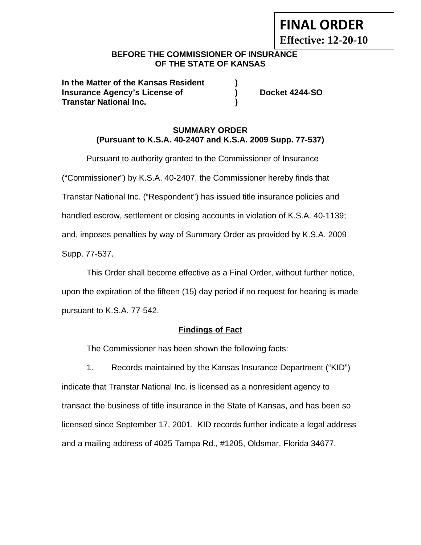# **FINAL ORDER**

**Effective: 12-20-10** 

# **BEFORE THE COMMISSIONER OF INSURANCE OF THE STATE OF KANSAS**

**In the Matter of the Kansas Resident ) Insurance Agency's License of (a) Bocket 4244-SO Transtar National Inc. )** 

### **SUMMARY ORDER (Pursuant to K.S.A. 40-2407 and K.S.A. 2009 Supp. 77-537)**

Pursuant to authority granted to the Commissioner of Insurance ("Commissioner") by K.S.A. 40-2407, the Commissioner hereby finds that Transtar National Inc. ("Respondent") has issued title insurance policies and handled escrow, settlement or closing accounts in violation of K.S.A. 40-1139; and, imposes penalties by way of Summary Order as provided by K.S.A. 2009 Supp. 77-537.

This Order shall become effective as a Final Order, without further notice, upon the expiration of the fifteen (15) day period if no request for hearing is made pursuant to K.S.A. 77-542.

# **Findings of Fact**

The Commissioner has been shown the following facts:

1. Records maintained by the Kansas Insurance Department ("KID") indicate that Transtar National Inc. is licensed as a nonresident agency to transact the business of title insurance in the State of Kansas, and has been so licensed since September 17, 2001. KID records further indicate a legal address and a mailing address of 4025 Tampa Rd., #1205, Oldsmar, Florida 34677.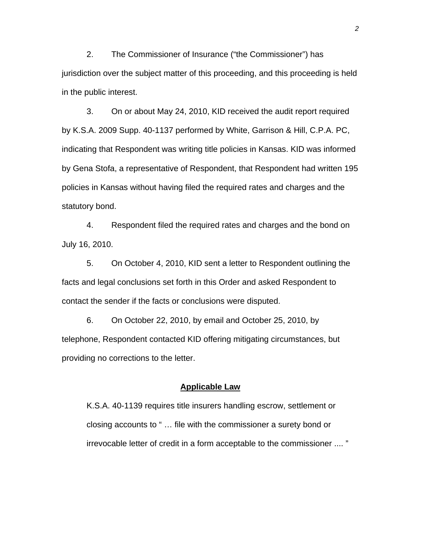2. The Commissioner of Insurance ("the Commissioner") has jurisdiction over the subject matter of this proceeding, and this proceeding is held in the public interest.

3. On or about May 24, 2010, KID received the audit report required by K.S.A. 2009 Supp. 40-1137 performed by White, Garrison & Hill, C.P.A. PC, indicating that Respondent was writing title policies in Kansas. KID was informed by Gena Stofa, a representative of Respondent, that Respondent had written 195 policies in Kansas without having filed the required rates and charges and the statutory bond.

4. Respondent filed the required rates and charges and the bond on July 16, 2010.

5. On October 4, 2010, KID sent a letter to Respondent outlining the facts and legal conclusions set forth in this Order and asked Respondent to contact the sender if the facts or conclusions were disputed.

6. On October 22, 2010, by email and October 25, 2010, by telephone, Respondent contacted KID offering mitigating circumstances, but providing no corrections to the letter.

#### **Applicable Law**

K.S.A. 40-1139 requires title insurers handling escrow, settlement or closing accounts to " … file with the commissioner a surety bond or irrevocable letter of credit in a form acceptable to the commissioner .... "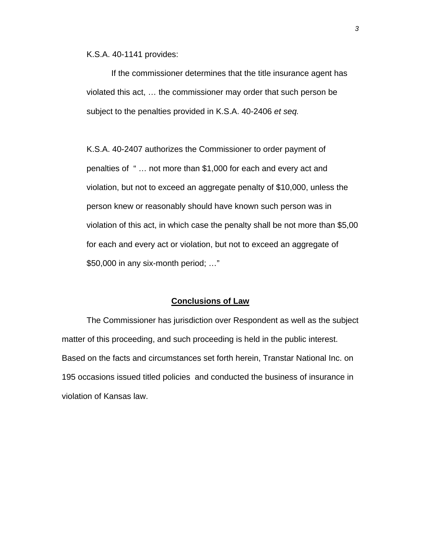K.S.A. 40-1141 provides:

If the commissioner determines that the title insurance agent has violated this act, … the commissioner may order that such person be subject to the penalties provided in K.S.A. 40-2406 *et seq.*

K.S.A. 40-2407 authorizes the Commissioner to order payment of penalties of " … not more than \$1,000 for each and every act and violation, but not to exceed an aggregate penalty of \$10,000, unless the person knew or reasonably should have known such person was in violation of this act, in which case the penalty shall be not more than \$5,00 for each and every act or violation, but not to exceed an aggregate of \$50,000 in any six-month period; …"

#### **Conclusions of Law**

 The Commissioner has jurisdiction over Respondent as well as the subject matter of this proceeding, and such proceeding is held in the public interest. Based on the facts and circumstances set forth herein, Transtar National Inc. on 195 occasions issued titled policies and conducted the business of insurance in violation of Kansas law.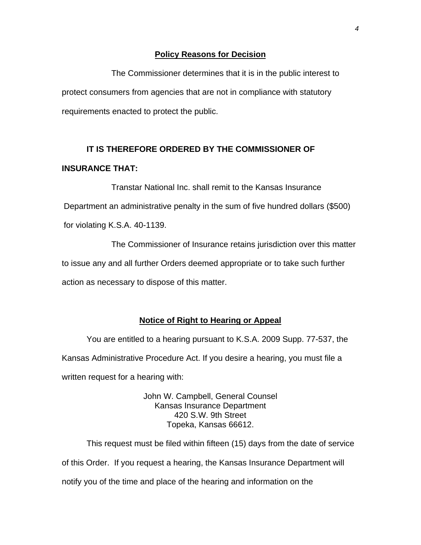#### **Policy Reasons for Decision**

 The Commissioner determines that it is in the public interest to protect consumers from agencies that are not in compliance with statutory requirements enacted to protect the public.

# **IT IS THEREFORE ORDERED BY THE COMMISSIONER OF INSURANCE THAT:**

 Transtar National Inc. shall remit to the Kansas Insurance Department an administrative penalty in the sum of five hundred dollars (\$500) for violating K.S.A. 40-1139.

 The Commissioner of Insurance retains jurisdiction over this matter to issue any and all further Orders deemed appropriate or to take such further action as necessary to dispose of this matter.

#### **Notice of Right to Hearing or Appeal**

You are entitled to a hearing pursuant to K.S.A. 2009 Supp. 77-537, the Kansas Administrative Procedure Act. If you desire a hearing, you must file a written request for a hearing with:

> John W. Campbell, General Counsel Kansas Insurance Department 420 S.W. 9th Street Topeka, Kansas 66612.

This request must be filed within fifteen (15) days from the date of service of this Order. If you request a hearing, the Kansas Insurance Department will notify you of the time and place of the hearing and information on the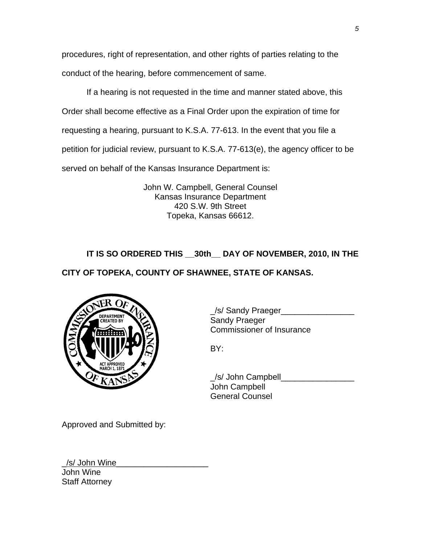procedures, right of representation, and other rights of parties relating to the conduct of the hearing, before commencement of same.

If a hearing is not requested in the time and manner stated above, this Order shall become effective as a Final Order upon the expiration of time for requesting a hearing, pursuant to K.S.A. 77-613. In the event that you file a petition for judicial review, pursuant to K.S.A. 77-613(e), the agency officer to be served on behalf of the Kansas Insurance Department is:

> John W. Campbell, General Counsel Kansas Insurance Department 420 S.W. 9th Street Topeka, Kansas 66612.

# **IT IS SO ORDERED THIS \_\_30th\_\_ DAY OF NOVEMBER, 2010, IN THE**

# **CITY OF TOPEKA, COUNTY OF SHAWNEE, STATE OF KANSAS.**



\_/s/ Sandy Praeger\_\_\_\_\_\_\_\_\_\_\_\_\_\_\_\_ Commissioner of Insurance

 \_/s/ John Campbell\_\_\_\_\_\_\_\_\_\_\_\_\_\_\_\_ John Campbell General Counsel

Approved and Submitted by:

/s/ John Wine John Wine Staff Attorney